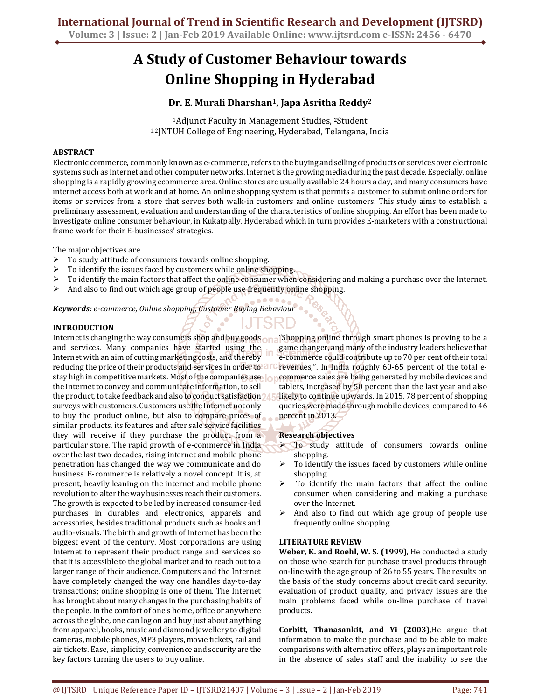# **A Study of Customer Behaviour towards Online Shopping in Hyderabad**

# **Dr. E. Murali Dharshan1, Japa Asritha Reddy<sup>2</sup>**

<sup>1</sup>Adjunct Faculty in Management Studies, 2Student 1,2JNTUH College of Engineering, Hyderabad, Telangana, India

#### **ABSTRACT**

Electronic commerce, commonly known as e-commerce, refers to the buying and selling of products or services over electronic systems such as internet and other computer networks. Internet is the growing media during the past decade. Especially, online shopping is a rapidly growing ecommerce area. Online stores are usually available 24 hours a day, and many consumers have internet access both at work and at home. An online shopping system is that permits a customer to submit online orders for items or services from a store that serves both walk-in customers and online customers. This study aims to establish a preliminary assessment, evaluation and understanding of the characteristics of online shopping. An effort has been made to investigate online consumer behaviour, in Kukatpally, Hyderabad which in turn provides E-marketers with a constructional frame work for their E-businesses' strategies.

The major objectives are

- $\blacktriangleright$  To study attitude of consumers towards online shopping.
- $\triangleright$  To identify the issues faced by customers while online shopping.
- $\triangleright$  To identify the main factors that affect the online consumer when considering and making a purchase over the Internet.

......

And also to find out which age group of people use frequently online shopping.

*Keywords: e-commerce, Online shopping, Customer Buying Behaviour* 

#### **INTRODUCTION**

Internet is changing the way consumers shop and buy goods on a "Shopping online through smart phones is proving to be a and services. Many companies have started using the Internet with an aim of cutting marketing costs, and thereby reducing the price of their products and services in order to allo stay high in competitive markets. Most of the companies use the Internet to convey and communicate information, to sell the product, to take feedback and also to conduct satisfaction 24. surveys with customers. Customers use the Internet not only to buy the product online, but also to compare prices of similar products, its features and after sale service facilities they will receive if they purchase the product from a particular store. The rapid growth of e-commerce in India over the last two decades, rising internet and mobile phone penetration has changed the way we communicate and do business. E-commerce is relatively a novel concept. It is, at present, heavily leaning on the internet and mobile phone revolution to alter the way businesses reach their customers. The growth is expected to be led by increased consumer-led purchases in durables and electronics, apparels and accessories, besides traditional products such as books and audio-visuals. The birth and growth of Internet has been the biggest event of the century. Most corporations are using Internet to represent their product range and services so that it is accessible to the global market and to reach out to a larger range of their audience. Computers and the Internet have completely changed the way one handles day-to-day transactions; online shopping is one of them. The Internet has brought about many changes in the purchasing habits of the people. In the comfort of one's home, office or anywhere across the globe, one can log on and buy just about anything from apparel, books, music and diamond jewellery to digital cameras, mobile phones, MP3 players, movie tickets, rail and air tickets. Ease, simplicity, convenience and security are the key factors turning the users to buy online.

game changer, and many of the industry leaders believe that e-commerce could contribute up to 70 per cent of their total revenues,". In India roughly 60-65 percent of the total ecommerce sales are being generated by mobile devices and tablets, increased by 50 percent than the last year and also likely to continue upwards. In 2015, 78 percent of shopping queries were made through mobile devices, compared to 46 percent in 2013.

#### **Research objectives**

- $\triangleright$  To study attitude of consumers towards online shopping.
- $\triangleright$  To identify the issues faced by customers while online shopping.
- $\triangleright$  To identify the main factors that affect the online consumer when considering and making a purchase over the Internet.
- $\triangleright$  And also to find out which age group of people use frequently online shopping.

#### **LITERATURE REVIEW**

**Weber, K. and Roehl, W. S. (1999)**, He conducted a study on those who search for purchase travel products through on-line with the age group of 26 to 55 years. The results on the basis of the study concerns about credit card security, evaluation of product quality, and privacy issues are the main problems faced while on-line purchase of travel products.

**Corbitt, Thanasankit, and Yi (2003)**,He argue that information to make the purchase and to be able to make comparisons with alternative offers, plays an important role in the absence of sales staff and the inability to see the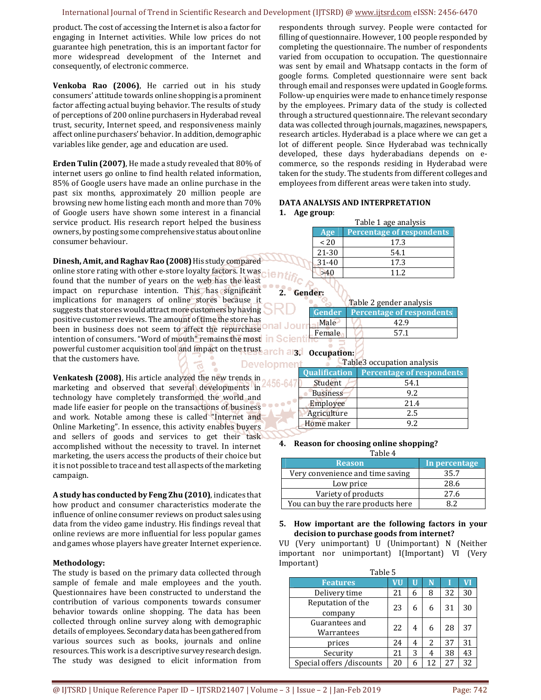#### International Journal of Trend in Scientific Research and Development (IJTSRD) @ www.ijtsrd.com eISSN: 2456-6470

product. The cost of accessing the Internet is also a factor for engaging in Internet activities. While low prices do not guarantee high penetration, this is an important factor for more widespread development of the Internet and consequently, of electronic commerce.

**Venkoba Rao (2006)**, He carried out in his study consumers' attitude towards online shopping is a prominent factor affecting actual buying behavior. The results of study of perceptions of 200 online purchasers in Hyderabad reveal trust, security, Internet speed, and responsiveness mainly affect online purchasers' behavior. In addition, demographic variables like gender, age and education are used.

**Erden Tulin (2007)**, He made a study revealed that 80% of internet users go online to find health related information, 85% of Google users have made an online purchase in the past six months, approximately 20 million people are browsing new home listing each month and more than 70% of Google users have shown some interest in a financial service product. His research report helped the business owners, by posting some comprehensive status about online consumer behaviour.

**Dinesh, Amit, and Raghav Rao (2008)** His study compared online store rating with other e-store loyalty factors. It was found that the number of years on the web has the least impact on repurchase intention. This has significant implications for managers of online stores because it suggests that stores would attract more customers by having positive customer reviews. The amount of time the store has been in business does not seem to affect the repurchase Onal Journ intention of consumers. "Word of mouth" remains the most in Scient powerful customer acquisition tool and impact on the trust that the customers have. Developme

**Venkatesh (2008)**, His article analyzed the new trends in 456-64 marketing and observed that several developments in technology have completely transformed the world and made life easier for people on the transactions of business and work. Notable among these is called "Internet and Online Marketing". In essence, this activity enables buyers and sellers of goods and services to get their task accomplished without the necessity to travel. In internet marketing, the users access the products of their choice but it is not possible to trace and test all aspects of the marketing campaign.

**A study has conducted by Feng Zhu (2010)**, indicates that how product and consumer characteristics moderate the influence of online consumer reviews on product sales using data from the video game industry. His findings reveal that online reviews are more influential for less popular games and games whose players have greater Internet experience.

#### **Methodology:**

The study is based on the primary data collected through sample of female and male employees and the youth. Questionnaires have been constructed to understand the contribution of various components towards consumer behavior towards online shopping. The data has been collected through online survey along with demographic details of employees. Secondary data has been gathered from various sources such as books, journals and online resources. This work is a descriptive survey research design. The study was designed to elicit information from

respondents through survey. People were contacted for filling of questionnaire. However, 100 people responded by completing the questionnaire. The number of respondents varied from occupation to occupation. The questionnaire was sent by email and Whatsapp contacts in the form of google forms. Completed questionnaire were sent back through email and responses were updated in Google forms. Follow-up enquiries were made to enhance timely response by the employees. Primary data of the study is collected through a structured questionnaire. The relevant secondary data was collected through journals, magazines, newspapers, research articles. Hyderabad is a place where we can get a lot of different people. Since Hyderabad was technically developed, these days hyderabadians depends on ecommerce, so the responds residing in Hyderabad were taken for the study. The students from different colleges and employees from different areas were taken into study.

#### **DATA ANALYSIS AND INTERPRETATION**

#### **1. Age group**:

|  | Table 1 age analysis |                                  |  |  |  |  |  |  |  |  |
|--|----------------------|----------------------------------|--|--|--|--|--|--|--|--|
|  | Age                  | <b>Percentage of respondents</b> |  |  |  |  |  |  |  |  |
|  | $\overline{20}$      | 17.3                             |  |  |  |  |  |  |  |  |
|  | $21 - 30$            | 54.1                             |  |  |  |  |  |  |  |  |
|  | $31 - 40$            | 17.3                             |  |  |  |  |  |  |  |  |
|  |                      | 11.2                             |  |  |  |  |  |  |  |  |

#### **2. Gender:**

|        | Table 2 gender analysis                 |
|--------|-----------------------------------------|
|        | <b>Gender Percentage of respondents</b> |
| Male   | 42 Q                                    |
| Female | 571                                     |
|        |                                         |

# **3. Occupation:**

| Tables occupation analysis |                                  |  |  |  |  |  |  |  |
|----------------------------|----------------------------------|--|--|--|--|--|--|--|
| <b>Qualification</b>       | <b>Percentage of respondents</b> |  |  |  |  |  |  |  |
| Student                    | 54.1                             |  |  |  |  |  |  |  |
| <b>Business</b>            | 9.2                              |  |  |  |  |  |  |  |
| Employee                   | 21.4                             |  |  |  |  |  |  |  |
| Agriculture                | 2.5                              |  |  |  |  |  |  |  |
| Home maker                 | 9 2                              |  |  |  |  |  |  |  |

#### **4. Reason for choosing online shopping?**

Table<sup>2</sup>

| ł<br>× |
|--------|
|--------|

| <b>Reason</b>                      | In percentage |
|------------------------------------|---------------|
| Very convenience and time saving   | 35.7          |
| Low price                          | 28.6          |
| Variety of products                | 27.6          |
| You can buy the rare products here |               |

 $\overline{\mathcal{A}}$ 

#### **5. How important are the following factors in your decision to purchase goods from internet?**

VU (Very unimportant) U (Unimportant) N (Neither important nor unimportant) I(Important) VI (Very Important)

| Table 5                      |    |   |    |    |    |  |
|------------------------------|----|---|----|----|----|--|
| <b>Features</b>              | VU |   | N  |    | VI |  |
| Delivery time                | 21 | 6 | 8  | 32 | 30 |  |
| Reputation of the<br>company | 23 | 6 | 6  | 31 | 30 |  |
| Guarantees and<br>Warrantees | 22 | 4 | 6  | 28 | 37 |  |
| prices                       | 24 | 4 | 2  | 37 | 31 |  |
| Security                     | 21 | 3 | 4  | 38 | 43 |  |
| Special offers /discounts    | 20 | 6 | 12 | 27 | 32 |  |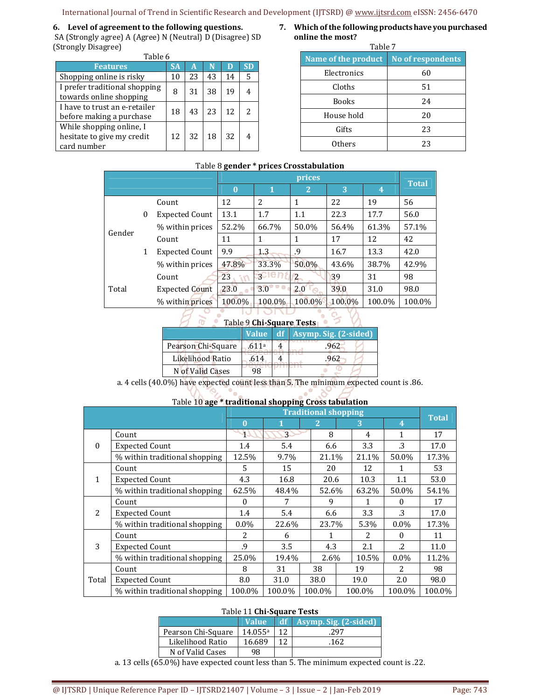#### International Journal of Trend in Scientific Research and Development (IJTSRD) @ www.ijtsrd.com eISSN: 2456-6470

#### **6. Level of agreement to the following questions.**

 SA (Strongly agree) A (Agree) N (Neutral) D (Disagree) SD (Strongly Disagree) Table 6

| <b>Features</b>                                                       | <b>SA</b> | A  | N  | D  | <b>SD</b> |
|-----------------------------------------------------------------------|-----------|----|----|----|-----------|
| Shopping online is risky                                              | 10        | 23 | 43 | 14 | 5         |
| I prefer traditional shopping<br>towards online shopping              | 8         | 31 | 38 | 19 |           |
| I have to trust an e-retailer<br>before making a purchase             | 18        | 43 | 23 | 12 |           |
| While shopping online, I<br>hesitate to give my credit<br>card number | 12        | 32 | 18 | 32 |           |

**7. Which of the following products have you purchased online the most?** 

| Name of the product | <b>No of respondents</b> |
|---------------------|--------------------------|
| Electronics         | 60                       |
| Cloths              | 51                       |
| <b>Books</b>        | 24                       |
| House hold          | 20                       |
| Gifts               | 23                       |
| Others              | 23                       |

| rable o genuer<br>prices et osstabulation |   |                       |          |                |                |        |        |        |
|-------------------------------------------|---|-----------------------|----------|----------------|----------------|--------|--------|--------|
|                                           |   |                       |          | <b>Total</b>   |                |        |        |        |
|                                           |   |                       | $\bf{0}$ |                | $\overline{2}$ | 3      | 4      |        |
|                                           |   | Count                 | 12       | 2              | 1              | 22     | 19     | 56     |
|                                           | 0 | <b>Expected Count</b> | 13.1     | 1.7            | 1.1            | 22.3   | 17.7   | 56.0   |
| Gender                                    |   | % within prices       | 52.2%    | 66.7%          | 50.0%          | 56.4%  | 61.3%  | 57.1%  |
|                                           |   | Count                 | 11       | 1              | 1              | 17     | 12     | 42     |
|                                           | 1 | Expected Count        | 9.9      | 1.3            | .9             | 16.7   | 13.3   | 42.0   |
|                                           |   | % within prices       | 47.8%    | 33.3%          | 50.0%          | 43.6%  | 38.7%  | 42.9%  |
|                                           |   | Count                 | 23       | 3 <sup>2</sup> | $\overline{2}$ | 39     | 31     | 98     |
| Total                                     |   | <b>Expected Count</b> | 23.0     | 3.0            | 2.0            | 39.0   | 31.0   | 98.0   |
|                                           |   | % within prices       | 100.0%   | 100.0%         | 100.0%         | 100.0% | 100.0% | 100.0% |
|                                           |   |                       |          |                |                |        |        |        |

## Table 8 **gender \* prices Crosstabulation**

| Table 9 Chi-Square Tests |       |  |                                |  |  |  |  |  |
|--------------------------|-------|--|--------------------------------|--|--|--|--|--|
|                          |       |  | Value df Asymp. Sig. (2-sided) |  |  |  |  |  |
| Pearson Chi-Square       | .611ª |  | 962                            |  |  |  |  |  |
| Likelihood Ratio         |       |  | 962                            |  |  |  |  |  |
| N of Valid Cases         |       |  |                                |  |  |  |  |  |

a. 4 cells (40.0%) have expected count less than 5. The minimum expected count is .86.

### Table 10 **age \* traditional shopping Cross tabulation**

|              | $\sim$                        |                | <b>Total</b> |                |         |  |        |                |        |
|--------------|-------------------------------|----------------|--------------|----------------|---------|--|--------|----------------|--------|
|              |                               | $\bf{0}$       |              | $\overline{2}$ |         |  | 3      | $\overline{4}$ |        |
|              | Count                         |                | 3            |                | 8       |  | 4      | 1              | 17     |
| $\mathbf{0}$ | <b>Expected Count</b>         | 1.4            | 5.4          |                | 6.6     |  | 3.3    | .3             | 17.0   |
|              | % within traditional shopping | 12.5%          | 9.7%         | 21.1%          |         |  | 21.1%  | 50.0%          | 17.3%  |
|              | Count                         | 5              | 15           |                | 20      |  | 12     | 1              | 53     |
| 1            | <b>Expected Count</b>         | 4.3            | 16.8         |                | 20.6    |  | 10.3   | 1.1            | 53.0   |
|              | % within traditional shopping | 62.5%          | 48.4%        |                | 52.6%   |  | 63.2%  | 50.0%          | 54.1%  |
|              | Count                         | $\theta$       | 7            |                | 9       |  |        | $\theta$       | 17     |
| 2            | <b>Expected Count</b>         | 1.4            | 5.4          |                | 6.6     |  | 3.3    | .3             | 17.0   |
|              | % within traditional shopping | $0.0\%$        | 22.6%        |                | 23.7%   |  | 5.3%   | $0.0\%$        | 17.3%  |
|              | Count                         | $\overline{a}$ | 6            |                |         |  | 2      | $\Omega$       | 11     |
| 3            | <b>Expected Count</b>         | .9             | 3.5          |                | 4.3     |  | 2.1    | $\cdot$        | 11.0   |
|              | % within traditional shopping | 25.0%          | 19.4%        |                | $2.6\%$ |  | 10.5%  | $0.0\%$        | 11.2%  |
|              | Count                         | 8              | 31           | 38             |         |  | 19     | 2              | 98     |
| Total        | <b>Expected Count</b>         | 8.0            | 31.0         |                | 38.0    |  | 19.0   | 2.0            | 98.0   |
|              | % within traditional shopping | 100.0%         | 100.0%       | 100.0%         |         |  | 100.0% | 100.0%         | 100.0% |

#### Table 11 **Chi-Square Tests**

|                    | <b>Value</b>        |    | $df$ Asymp. Sig. (2-sided) |  |  |  |  |  |
|--------------------|---------------------|----|----------------------------|--|--|--|--|--|
| Pearson Chi-Square | 14.055 <sup>a</sup> | 12 | 297                        |  |  |  |  |  |
| Likelihood Ratio   | 16.689              | 12 | .162                       |  |  |  |  |  |
| N of Valid Cases   | 98                  |    |                            |  |  |  |  |  |

a. 13 cells (65.0%) have expected count less than 5. The minimum expected count is .22.